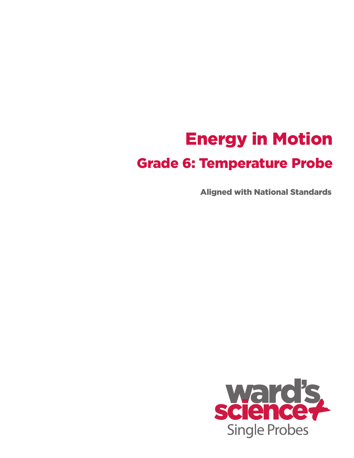# Energy in Motion Grade 6: Temperature Probe

Aligned with National Standards

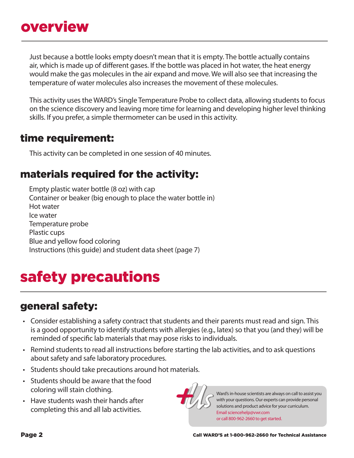Just because a bottle looks empty doesn't mean that it is empty. The bottle actually contains air, which is made up of different gases. If the bottle was placed in hot water, the heat energy would make the gas molecules in the air expand and move. We will also see that increasing the temperature of water molecules also increases the movement of these molecules.

This activity uses the WARD's Single Temperature Probe to collect data, allowing students to focus on the science discovery and leaving more time for learning and developing higher level thinking skills. If you prefer, a simple thermometer can be used in this activity.

#### time requirement:

This activity can be completed in one session of 40 minutes.

### materials required for the activity:

Empty plastic water bottle (8 oz) with cap Container or beaker (big enough to place the water bottle in) Hot water Ice water Temperature probe Plastic cups Blue and yellow food coloring Instructions (this guide) and student data sheet (page 7)

## safety precautions

### general safety:

- Consider establishing a safety contract that students and their parents must read and sign. This is a good opportunity to identify students with allergies (e.g., latex) so that you (and they) will be reminded of specific lab materials that may pose risks to individuals.
- Remind students to read all instructions before starting the lab activities, and to ask questions about safety and safe laboratory procedures.
- Students should take precautions around hot materials.
- Students should be aware that the food coloring will stain clothing.
- • Have students wash their hands after completing this and all lab activities.



Ward's in-house scientists are always on call to assist you with your questions.Our experts can provide personal solutions and product advice for your curriculum. Email sciencehelp@vwr.com or call 800-962-2660 to get started.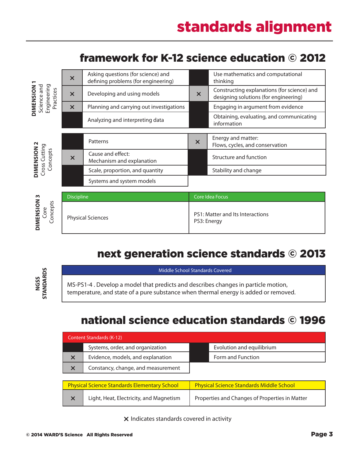| Engineering<br>Science and<br><b>DIMENSION</b><br>Practices | $\boldsymbol{\mathsf{x}}$ | Asking questions (for science) and<br>defining problems (for engineering) |                                                 | Use mathematics and computational<br>thinking                                        |
|-------------------------------------------------------------|---------------------------|---------------------------------------------------------------------------|-------------------------------------------------|--------------------------------------------------------------------------------------|
|                                                             | $\boldsymbol{\times}$     | Developing and using models                                               | $\boldsymbol{\mathsf{x}}$                       | Constructing explanations (for science) and<br>designing solutions (for engineering) |
|                                                             | $\boldsymbol{\times}$     | Planning and carrying out investigations                                  |                                                 | Engaging in argument from evidence                                                   |
|                                                             |                           | Analyzing and interpreting data                                           |                                                 | Obtaining, evaluating, and communicating<br>information                              |
|                                                             |                           |                                                                           |                                                 |                                                                                      |
| DIMENSION 2<br>Cross Cutting<br>Concepts                    |                           | Patterns                                                                  | $\boldsymbol{\mathsf{x}}$                       | Energy and matter:<br>Flows, cycles, and conservation                                |
|                                                             | $\boldsymbol{\mathsf{x}}$ | Cause and effect:<br>Mechanism and explanation                            |                                                 | Structure and function                                                               |
|                                                             |                           | Scale, proportion, and quantity                                           |                                                 | Stability and change                                                                 |
|                                                             |                           | Systems and system models                                                 |                                                 |                                                                                      |
|                                                             | <b>Discipline</b>         |                                                                           | Core Idea Focus                                 |                                                                                      |
| DIMENSION 3<br>Concepts<br><b>Lore</b>                      | <b>Physical Sciences</b>  |                                                                           | PS1: Matter and Its Interactions<br>PS3: Energy |                                                                                      |

### framework for K-12 science education © 2012

### next generation science standards © 2013

Middle School Standards Covered

MS-PS1-4 . Develop a model that predicts and describes changes in particle motion, temperature, and state of a pure substance when thermal energy is added or removed.

### national science education standards © 1996

| Content Standards (K-12) |                                    |  |                           |  |  |  |
|--------------------------|------------------------------------|--|---------------------------|--|--|--|
|                          | Systems, order, and organization   |  | Evolution and equilibrium |  |  |  |
| $\times$                 | Evidence, models, and explanation  |  | Form and Function         |  |  |  |
| $\times$                 | Constancy, change, and measurement |  |                           |  |  |  |

| <b>Physical Science Standards Elementary School</b> | <b>Physical Science Standards Middle School</b> |  |
|-----------------------------------------------------|-------------------------------------------------|--|
| Light, Heat, Electricity, and Magnetism             | Properties and Changes of Properties in Matter  |  |

 $x$  Indicates standards covered in activity

**N GSS**

**Stan**

**dar d s**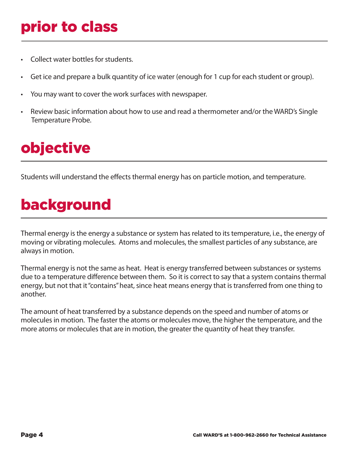# prior to class

- Collect water bottles for students.
- Get ice and prepare a bulk quantity of ice water (enough for 1 cup for each student or group).
- You may want to cover the work surfaces with newspaper.
- Review basic information about how to use and read a thermometer and/or the WARD's Single Temperature Probe.

# objective

Students will understand the effects thermal energy has on particle motion, and temperature.

# background

Thermal energy is the energy a substance or system has related to its temperature, i.e., the energy of moving or vibrating molecules. Atoms and molecules, the smallest particles of any substance, are always in motion.

Thermal energy is not the same as heat. Heat is energy transferred between substances or systems due to a temperature difference between them. So it is correct to say that a system contains thermal energy, but not that it "contains" heat, since heat means energy that is transferred from one thing to another.

The amount of heat transferred by a substance depends on the speed and number of atoms or molecules in motion. The faster the atoms or molecules move, the higher the temperature, and the more atoms or molecules that are in motion, the greater the quantity of heat they transfer.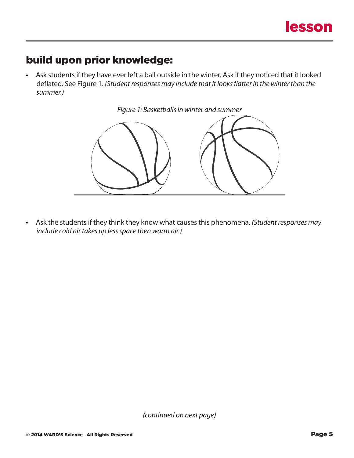### build upon prior knowledge:

• Ask students if they have ever left a ball outside in the winter. Ask if they noticed that it looked deflated. See Figure 1. *(Student responses may include that it looks flatter in the winter than the summer.)*



• Ask the students if they think they know what causes this phenomena. *(Student responses may include cold air takes up less space then warm air.)*

*(continued on next page)*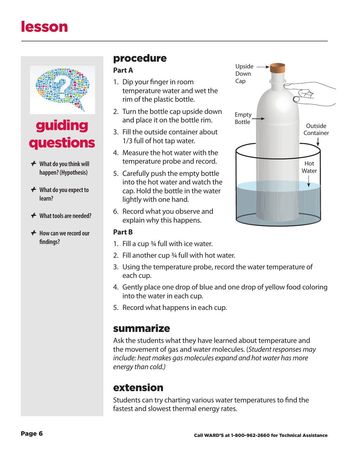

## guiding questions

- *+* **What do you think will happen? (Hypothesis)**
- *+* **What do you expect to learn?**
- *+* **What tools are needed?**
- *+* **How can we record our findings?**

### procedure

#### **Part A**

- 1. Dip your finger in room temperature water and wet the rim of the plastic bottle.
- 2. Turn the bottle cap upside down and place it on the bottle rim.
- 3. Fill the outside container about 1/3 full of hot tap water.
- 4. Measure the hot water with the temperature probe and record.
- 5. Carefully push the empty bottle into the hot water and watch the cap. Hold the bottle in the water lightly with one hand.
- 6. Record what you observe and explain why this happens.

#### **Part B**

- 1. Fill a cup ¾ full with ice water.
- 2. Fill another cup ¾ full with hot water.
- 3. Using the temperature probe, record the water temperature of each cup.
- 4. Gently place one drop of blue and one drop of yellow food coloring into the water in each cup.
- 5. Record what happens in each cup.

#### summarize

Ask the students what they have learned about temperature and the movement of gas and water molecules. (*Student responses may include: heat makes gas molecules expand and hot water has more energy than cold.)*

### extension

Students can try charting various water temperatures to find the fastest and slowest thermal energy rates.

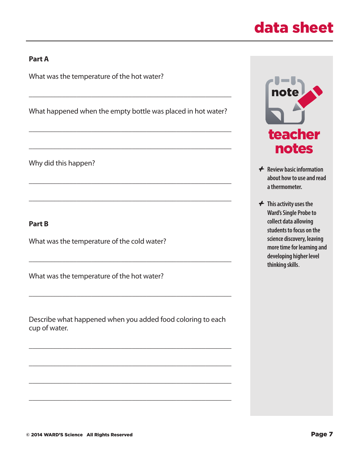## data sheet

#### **Part A**

What was the temperature of the hot water?

What happened when the empty bottle was placed in hot water?

 $\_$  , and the set of the set of the set of the set of the set of the set of the set of the set of the set of the set of the set of the set of the set of the set of the set of the set of the set of the set of the set of th

 $\_$  , and the set of the set of the set of the set of the set of the set of the set of the set of the set of the set of the set of the set of the set of the set of the set of the set of the set of the set of the set of th

 $\_$  , and the set of the set of the set of the set of the set of the set of the set of the set of the set of the set of the set of the set of the set of the set of the set of the set of the set of the set of the set of th

 $\_$  , and the set of the set of the set of the set of the set of the set of the set of the set of the set of the set of the set of the set of the set of the set of the set of the set of the set of the set of the set of th

 $\_$  , and the set of the set of the set of the set of the set of the set of the set of the set of the set of the set of the set of the set of the set of the set of the set of the set of the set of the set of the set of th

 $\_$  , and the set of the set of the set of the set of the set of the set of the set of the set of the set of the set of the set of the set of the set of the set of the set of the set of the set of the set of the set of th

 $\_$  , and the set of the set of the set of the set of the set of the set of the set of the set of the set of the set of the set of the set of the set of the set of the set of the set of the set of the set of the set of th

Why did this happen?

#### **Part B**

What was the temperature of the cold water?

What was the temperature of the hot water?

Describe what happened when you added food coloring to each cup of water.

 $\_$  , and the set of the set of the set of the set of the set of the set of the set of the set of the set of the set of the set of the set of the set of the set of the set of the set of the set of the set of the set of th

 $\_$  , and the set of the set of the set of the set of the set of the set of the set of the set of the set of the set of the set of the set of the set of the set of the set of the set of the set of the set of the set of th

 $\_$  , and the set of the set of the set of the set of the set of the set of the set of the set of the set of the set of the set of the set of the set of the set of the set of the set of the set of the set of the set of th

 $\_$  , and the set of the set of the set of the set of the set of the set of the set of the set of the set of the set of the set of the set of the set of the set of the set of the set of the set of the set of the set of th



- *+* **Review basic information about how to use and read a thermometer.**
- *+* **This activity uses the Ward's Single Probe to collect data allowing students to focus on the science discovery, leaving more time for learning and developing higher level thinking skills**.